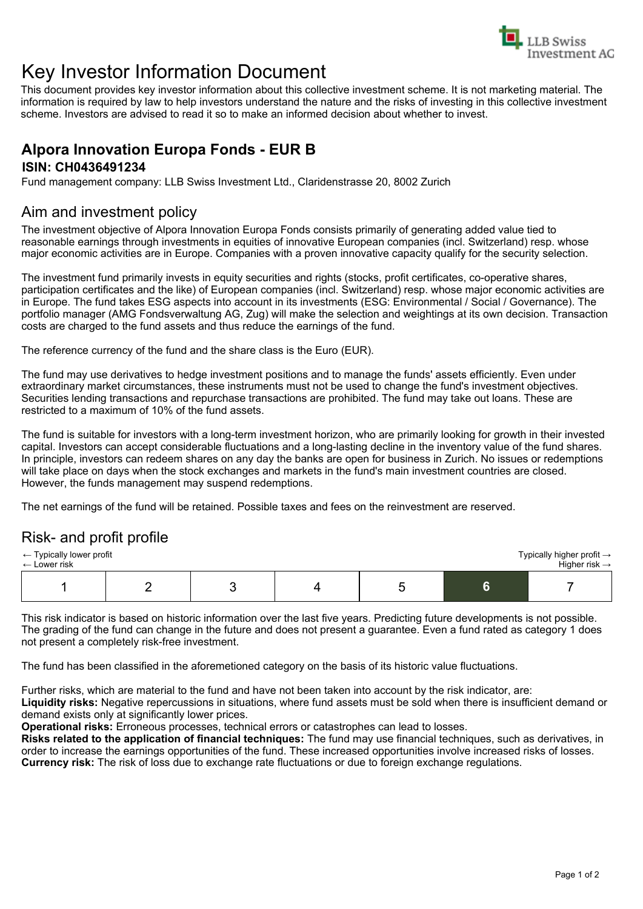

# Key Investor Information Document

This document provides key investor information about this collective investment scheme. It is not marketing material. The information is required by law to help investors understand the nature and the risks of investing in this collective investment scheme. Investors are advised to read it so to make an informed decision about whether to invest.

### **Alpora Innovation Europa Fonds - EUR B ISIN: CH0436491234**

Fund management company: LLB Swiss Investment Ltd., Claridenstrasse 20, 8002 Zurich

## Aim and investment policy

The investment objective of Alpora Innovation Europa Fonds consists primarily of generating added value tied to reasonable earnings through investments in equities of innovative European companies (incl. Switzerland) resp. whose major economic activities are in Europe. Companies with a proven innovative capacity qualify for the security selection.

The investment fund primarily invests in equity securities and rights (stocks, profit certificates, co-operative shares, participation certificates and the like) of European companies (incl. Switzerland) resp. whose major economic activities are in Europe. The fund takes ESG aspects into account in its investments (ESG: Environmental / Social / Governance). The portfolio manager (AMG Fondsverwaltung AG, Zug) will make the selection and weightings at its own decision. Transaction costs are charged to the fund assets and thus reduce the earnings of the fund.

The reference currency of the fund and the share class is the Euro (EUR).

The fund may use derivatives to hedge investment positions and to manage the funds' assets efficiently. Even under extraordinary market circumstances, these instruments must not be used to change the fund's investment objectives. Securities lending transactions and repurchase transactions are prohibited. The fund may take out loans. These are restricted to a maximum of 10% of the fund assets.

The fund is suitable for investors with a long-term investment horizon, who are primarily looking for growth in their invested capital. Investors can accept considerable fluctuations and a long-lasting decline in the inventory value of the fund shares. In principle, investors can redeem shares on any day the banks are open for business in Zurich. No issues or redemptions will take place on days when the stock exchanges and markets in the fund's main investment countries are closed. However, the funds management may suspend redemptions.

The net earnings of the fund will be retained. Possible taxes and fees on the reinvestment are reserved.

# Risk- and profit profile

| Typically higher profit $\rightarrow$<br>$\leftarrow$ Typically lower profit<br>Higher risk $\rightarrow$<br>$\leftarrow$ Lower risk |  |  |  |  |  |  |
|--------------------------------------------------------------------------------------------------------------------------------------|--|--|--|--|--|--|
|                                                                                                                                      |  |  |  |  |  |  |

This risk indicator is based on historic information over the last five years. Predicting future developments is not possible. The grading of the fund can change in the future and does not present a guarantee. Even a fund rated as category 1 does not present a completely risk-free investment.

The fund has been classified in the aforemetioned category on the basis of its historic value fluctuations.

Further risks, which are material to the fund and have not been taken into account by the risk indicator, are:

**Liquidity risks:** Negative repercussions in situations, where fund assets must be sold when there is insufficient demand or demand exists only at significantly lower prices.

**Operational risks:** Erroneous processes, technical errors or catastrophes can lead to losses.

**Risks related to the application of financial techniques:** The fund may use financial techniques, such as derivatives, in order to increase the earnings opportunities of the fund. These increased opportunities involve increased risks of losses. **Currency risk:** The risk of loss due to exchange rate fluctuations or due to foreign exchange regulations.